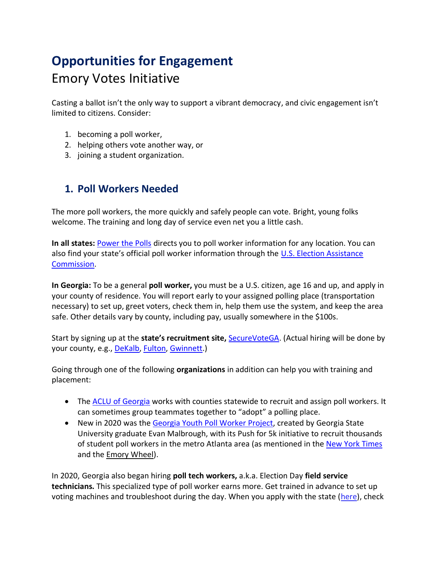# **Opportunities for Engagement** Emory Votes Initiative

Casting a ballot isn't the only way to support a vibrant democracy, and civic engagement isn't limited to citizens. Consider:

- 1. becoming a poll worker,
- 2. helping others vote another way, or
- 3. joining a student organization.

### **1. Poll Workers Needed**

The more poll workers, the more quickly and safely people can vote. Bright, young folks welcome. The training and long day of service even net you a little cash.

**In all states:** [Power the Polls](https://www.powerthepolls.org/) directs you to poll worker information for any location. You can also find your state's official poll worker information through the [U.S. Election Assistance](https://www.eac.gov/voters/become-poll-worker)  [Commission.](https://www.eac.gov/voters/become-poll-worker)

**In Georgia:** To be a general **poll worker,** you must be a U.S. citizen, age 16 and up, and apply in your county of residence. You will report early to your assigned polling place (transportation necessary) to set up, greet voters, check them in, help them use the system, and keep the area safe. Other details vary by county, including pay, usually somewhere in the \$100s.

Start by signing up at the **state's recruitment site,** [SecureVoteGA.](https://securevotega.com/pollworkerrecruitment/) (Actual hiring will be done by your county, e.g., [DeKalb,](https://www.dekalbcountyga.gov/voter-registration-elections/poll-employment) [Fulton,](https://www.fultoncountyga.gov/get-involved/citizen-engagement/become-a-poll-worker) [Gwinnett.](https://www.gwinnettcounty.com/web/gwinnett/departments/elections/pollofficialapplication))

Going through one of the following **organizations** in addition can help you with training and placement:

- The [ACLU of Georgia](https://secure.everyaction.com/IjpK06QnwUuFeVrsKCauaw2) works with counties statewide to recruit and assign poll workers. It can sometimes group teammates together to "adopt" a polling place.
- New in 2020 was the [Georgia Youth Poll Worker Project,](https://www.thegeorgiayouthpollworkerproject.org/) created by Georgia State University graduate Evan Malbrough, with its Push for 5k initiative to recruit thousands of student poll workers in the metro Atlanta area (as mentioned in the [New York Times](https://www.nytimes.com/2020/07/25/us/politics/georgia-election-voting-problems.html) and the [Emory Wheel\)](https://emorywheel.com/students-apply-to-be-poll-workers-fill-shoes-of-elderly-during-covid-19/).

In 2020, Georgia also began hiring **poll tech workers,** a.k.a. Election Day **field service technicians.** This specialized type of poll worker earns more. Get trained in advance to set up voting machines and troubleshoot during the day. When you apply with the state [\(here\)](https://nam03.safelinks.protection.outlook.com/?url=https%3A%2F%2Fdocs.google.com%2Fforms%2Fd%2Fe%2F1FAIpQLSdOk-97EkE6SeoalTdfWn1wiQBd2LY4oZzlSH49tF2oJAS4hA%2Fviewform&data=02%7C01%7Cszaslaw%40emory.edu%7C0635485272fb4d9c217108d866841584%7Ce004fb9cb0a4424fbcd0322606d5df38%7C0%7C0%7C637372064779661329&sdata=2qy4lnW5UhPx5WOjV0GNBT1E0VvSqry8rcWI0ZD2PQs%3D&reserved=0), check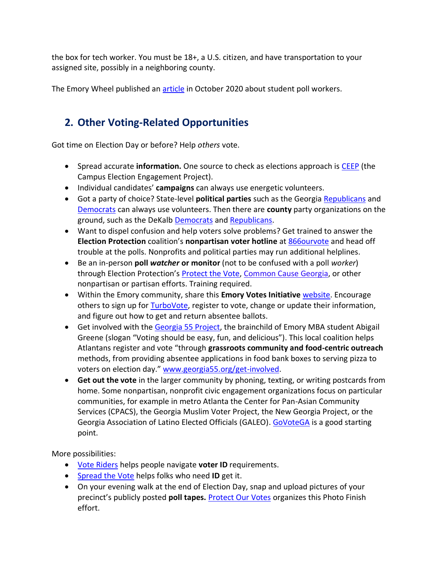the box for tech worker. You must be 18+, a U.S. citizen, and have transportation to your assigned site, possibly in a neighboring county.

The Emory Wheel published an [article](https://emorywheel.com/students-apply-to-be-poll-workers-fill-shoes-of-elderly-during-covid-19/) in October 2020 about student poll workers.

## **2. Other Voting-Related Opportunities**

Got time on Election Day or before? Help *others* vote.

- Spread accurate **information.** One source to check as elections approach is [CEEP](https://campuselect.org/voter-education/candidate-issue-guides/) (the Campus Election Engagement Project).
- Individual candidates' **campaigns** can always use energetic volunteers.
- Got a party of choice? State-level **political parties** such as the Georgia [Republicans](https://gagop.org/) and [Democrats](https://www.georgiademocrat.org/) can always use volunteers. Then there are **county** party organizations on the ground, such as the DeKalb [Democrats](https://dekalbdems.com/) and [Republicans.](https://www.dekalbgop.org/)
- Want to dispel confusion and help voters solve problems? Get trained to answer the **Election Protection** coalition's **nonpartisan voter hotline** at [866ourvote](https://866ourvote.org/volunteer/) and head off trouble at the polls. Nonprofits and political parties may run additional helplines.
- Be an in-person **poll** *watcher* **or monitor** (not to be confused with a poll *worker*) through Election Protection's [Protect the Vote,](https://protectthevote.net/) [Common Cause Georgia,](https://www.commoncause.org/georgia/our-work/voting-elections/election-protection-in-georgia/) or other nonpartisan or partisan efforts. Training required.
- Within the Emory community, share this **Emory Votes Initiative** [website.](http://campuslife.emory.edu/about/initiatives/evi.html) Encourage others to sign up for [TurboVote,](https://emory.turbovote.org/) register to vote, change or update their information, and figure out how to get and return absentee ballots.
- Get involved with the [Georgia 55 Project,](https://nam03.safelinks.protection.outlook.com/?url=http%3A%2F%2Fgeorgia55project.org%2F&data=02%7C01%7Cszaslaw%40emory.edu%7C6a929f4ae71f4818f55708d861586ee1%7Ce004fb9cb0a4424fbcd0322606d5df38%7C0%7C0%7C637366379732645173&sdata=xvllFbyp%2BfP2%2FuhxxH0EGh2FolpQDu7NFHVC6DkBVj0%3D&reserved=0) the brainchild of Emory MBA student Abigail Greene (slogan "Voting should be easy, fun, and delicious"). This local coalition helps Atlantans register and vote "through **grassroots community and food-centric outreach** methods, from providing absentee applications in food bank boxes to serving pizza to voters on election day." [www.georgia55.org/get-involved.](https://nam03.safelinks.protection.outlook.com/?url=http%3A%2F%2Fwww.georgia55.org%2Fget-involved&data=02%7C01%7Cszaslaw%40emory.edu%7C6a929f4ae71f4818f55708d861586ee1%7Ce004fb9cb0a4424fbcd0322606d5df38%7C0%7C0%7C637366379732665162&sdata=5kxIlW1cqSivRtf6TiuyKIsR5aZfS1xrs7k%2BBNz25lc%3D&reserved=0)
- **Get out the vote** in the larger community by phoning, texting, or writing postcards from home. Some nonpartisan, nonprofit civic engagement organizations focus on particular communities, for example in metro Atlanta the Center for Pan-Asian Community Services (CPACS), the Georgia Muslim Voter Project, the New Georgia Project, or the Georgia Association of Latino Elected Officials (GALEO). [GoVoteGA](https://www.govotega.org/volunteer-sign-up/) is a good starting point.

More possibilities:

- [Vote Riders](https://www.voteriders.org/get-involved/volunteer/) helps people navigate **voter ID** requirements.
- [Spread the Vote](https://www.spreadthevote.org/volunteer) helps folks who need **ID** get it.
- On your evening walk at the end of Election Day, snap and upload pictures of your precinct's publicly posted **poll tapes.** [Protect Our Votes](https://www.protectourvotes.com/photo-finish-volunteer-sign-up-form/) organizes this Photo Finish effort.